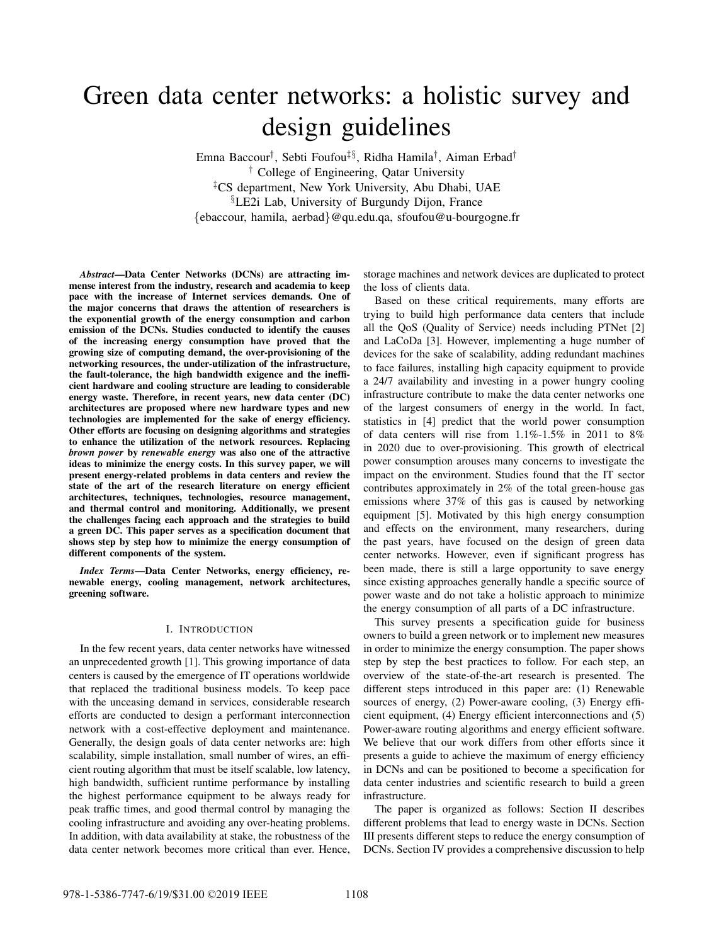# Green data center networks: a holistic survey and design guidelines

Emna Baccour† , Sebti Foufou‡§, Ridha Hamila† , Aiman Erbad† † College of Engineering, Qatar University ‡CS department, New York University, Abu Dhabi, UAE §LE2i Lab, University of Burgundy Dijon, France {ebaccour, hamila, aerbad}@qu.edu.qa, sfoufou@u-bourgogne.fr

*Abstract*—Data Center Networks (DCNs) are attracting immense interest from the industry, research and academia to keep pace with the increase of Internet services demands. One of the major concerns that draws the attention of researchers is the exponential growth of the energy consumption and carbon emission of the DCNs. Studies conducted to identify the causes of the increasing energy consumption have proved that the growing size of computing demand, the over-provisioning of the networking resources, the under-utilization of the infrastructure, the fault-tolerance, the high bandwidth exigence and the inefficient hardware and cooling structure are leading to considerable energy waste. Therefore, in recent years, new data center (DC) architectures are proposed where new hardware types and new technologies are implemented for the sake of energy efficiency. Other efforts are focusing on designing algorithms and strategies to enhance the utilization of the network resources. Replacing *brown power* by *renewable energy* was also one of the attractive ideas to minimize the energy costs. In this survey paper, we will present energy-related problems in data centers and review the state of the art of the research literature on energy efficient architectures, techniques, technologies, resource management, and thermal control and monitoring. Additionally, we present the challenges facing each approach and the strategies to build a green DC. This paper serves as a specification document that shows step by step how to minimize the energy consumption of different components of the system.

*Index Terms*—Data Center Networks, energy efficiency, renewable energy, cooling management, network architectures, greening software.

#### I. INTRODUCTION

In the few recent years, data center networks have witnessed an unprecedented growth [1]. This growing importance of data centers is caused by the emergence of IT operations worldwide that replaced the traditional business models. To keep pace with the unceasing demand in services, considerable research efforts are conducted to design a performant interconnection network with a cost-effective deployment and maintenance. Generally, the design goals of data center networks are: high scalability, simple installation, small number of wires, an efficient routing algorithm that must be itself scalable, low latency, high bandwidth, sufficient runtime performance by installing the highest performance equipment to be always ready for peak traffic times, and good thermal control by managing the cooling infrastructure and avoiding any over-heating problems. In addition, with data availability at stake, the robustness of the data center network becomes more critical than ever. Hence, storage machines and network devices are duplicated to protect the loss of clients data.

Based on these critical requirements, many efforts are trying to build high performance data centers that include all the QoS (Quality of Service) needs including PTNet [2] and LaCoDa [3]. However, implementing a huge number of devices for the sake of scalability, adding redundant machines to face failures, installing high capacity equipment to provide a 24/7 availability and investing in a power hungry cooling infrastructure contribute to make the data center networks one of the largest consumers of energy in the world. In fact, statistics in [4] predict that the world power consumption of data centers will rise from 1.1%-1.5% in 2011 to 8% in 2020 due to over-provisioning. This growth of electrical power consumption arouses many concerns to investigate the impact on the environment. Studies found that the IT sector contributes approximately in 2% of the total green-house gas emissions where 37% of this gas is caused by networking equipment [5]. Motivated by this high energy consumption and effects on the environment, many researchers, during the past years, have focused on the design of green data center networks. However, even if significant progress has been made, there is still a large opportunity to save energy since existing approaches generally handle a specific source of power waste and do not take a holistic approach to minimize the energy consumption of all parts of a DC infrastructure.

This survey presents a specification guide for business owners to build a green network or to implement new measures in order to minimize the energy consumption. The paper shows step by step the best practices to follow. For each step, an overview of the state-of-the-art research is presented. The different steps introduced in this paper are: (1) Renewable sources of energy, (2) Power-aware cooling, (3) Energy efficient equipment, (4) Energy efficient interconnections and (5) Power-aware routing algorithms and energy efficient software. We believe that our work differs from other efforts since it presents a guide to achieve the maximum of energy efficiency in DCNs and can be positioned to become a specification for data center industries and scientific research to build a green infrastructure.

The paper is organized as follows: Section II describes different problems that lead to energy waste in DCNs. Section III presents different steps to reduce the energy consumption of DCNs. Section IV provides a comprehensive discussion to help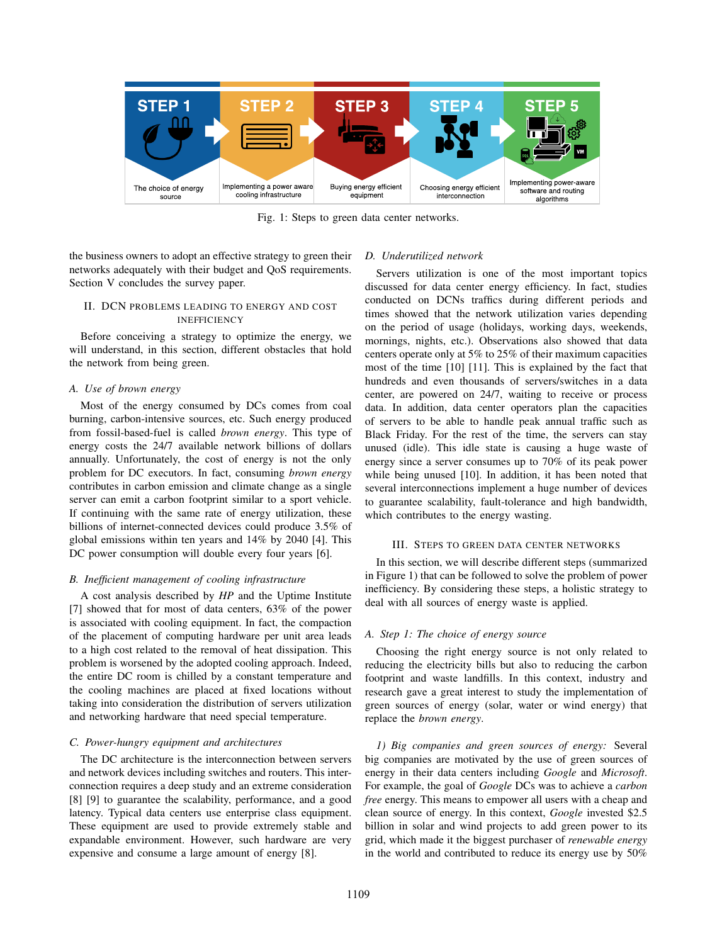

Fig. 1: Steps to green data center networks.

the business owners to adopt an effective strategy to green their networks adequately with their budget and QoS requirements. Section V concludes the survey paper.

# II. DCN PROBLEMS LEADING TO ENERGY AND COST INEFFICIENCY

Before conceiving a strategy to optimize the energy, we will understand, in this section, different obstacles that hold the network from being green.

## *A. Use of brown energy*

Most of the energy consumed by DCs comes from coal burning, carbon-intensive sources, etc. Such energy produced from fossil-based-fuel is called *brown energy*. This type of energy costs the 24/7 available network billions of dollars annually. Unfortunately, the cost of energy is not the only problem for DC executors. In fact, consuming *brown energy* contributes in carbon emission and climate change as a single server can emit a carbon footprint similar to a sport vehicle. If continuing with the same rate of energy utilization, these billions of internet-connected devices could produce 3.5% of global emissions within ten years and 14% by 2040 [4]. This DC power consumption will double every four years [6].

# *B. Inefficient management of cooling infrastructure*

A cost analysis described by *HP* and the Uptime Institute [7] showed that for most of data centers, 63% of the power is associated with cooling equipment. In fact, the compaction of the placement of computing hardware per unit area leads to a high cost related to the removal of heat dissipation. This problem is worsened by the adopted cooling approach. Indeed, the entire DC room is chilled by a constant temperature and the cooling machines are placed at fixed locations without taking into consideration the distribution of servers utilization and networking hardware that need special temperature.

## *C. Power-hungry equipment and architectures*

The DC architecture is the interconnection between servers and network devices including switches and routers. This interconnection requires a deep study and an extreme consideration [8] [9] to guarantee the scalability, performance, and a good latency. Typical data centers use enterprise class equipment. These equipment are used to provide extremely stable and expandable environment. However, such hardware are very expensive and consume a large amount of energy [8].

# *D. Underutilized network*

Servers utilization is one of the most important topics discussed for data center energy efficiency. In fact, studies conducted on DCNs traffics during different periods and times showed that the network utilization varies depending on the period of usage (holidays, working days, weekends, mornings, nights, etc.). Observations also showed that data centers operate only at 5% to 25% of their maximum capacities most of the time [10] [11]. This is explained by the fact that hundreds and even thousands of servers/switches in a data center, are powered on 24/7, waiting to receive or process data. In addition, data center operators plan the capacities of servers to be able to handle peak annual traffic such as Black Friday. For the rest of the time, the servers can stay unused (idle). This idle state is causing a huge waste of energy since a server consumes up to 70% of its peak power while being unused [10]. In addition, it has been noted that several interconnections implement a huge number of devices to guarantee scalability, fault-tolerance and high bandwidth, which contributes to the energy wasting.

## III. STEPS TO GREEN DATA CENTER NETWORKS

In this section, we will describe different steps (summarized in Figure 1) that can be followed to solve the problem of power inefficiency. By considering these steps, a holistic strategy to deal with all sources of energy waste is applied.

## *A. Step 1: The choice of energy source*

Choosing the right energy source is not only related to reducing the electricity bills but also to reducing the carbon footprint and waste landfills. In this context, industry and research gave a great interest to study the implementation of green sources of energy (solar, water or wind energy) that replace the *brown energy*.

*1) Big companies and green sources of energy:* Several big companies are motivated by the use of green sources of energy in their data centers including *Google* and *Microsoft*. For example, the goal of *Google* DCs was to achieve a *carbon free* energy. This means to empower all users with a cheap and clean source of energy. In this context, *Google* invested \$2.5 billion in solar and wind projects to add green power to its grid, which made it the biggest purchaser of *renewable energy* in the world and contributed to reduce its energy use by 50%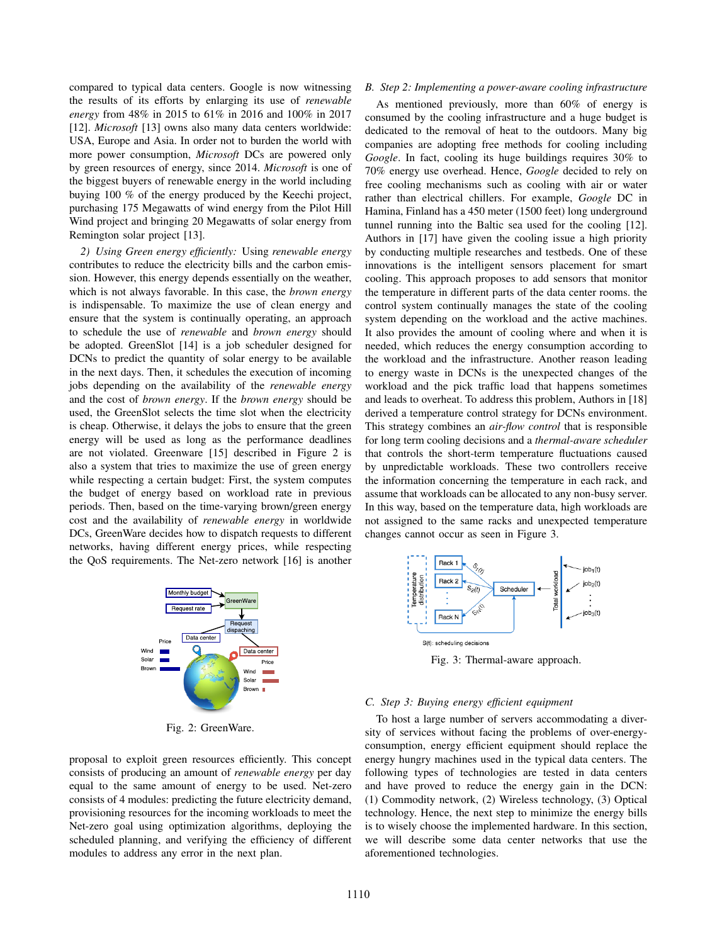compared to typical data centers. Google is now witnessing the results of its efforts by enlarging its use of *renewable energy* from 48% in 2015 to 61% in 2016 and 100% in 2017 [12]. *Microsoft* [13] owns also many data centers worldwide: USA, Europe and Asia. In order not to burden the world with more power consumption, *Microsoft* DCs are powered only by green resources of energy, since 2014. *Microsoft* is one of the biggest buyers of renewable energy in the world including buying 100 % of the energy produced by the Keechi project, purchasing 175 Megawatts of wind energy from the Pilot Hill Wind project and bringing 20 Megawatts of solar energy from Remington solar project [13].

*2) Using Green energy efficiently:* Using *renewable energy* contributes to reduce the electricity bills and the carbon emission. However, this energy depends essentially on the weather, which is not always favorable. In this case, the *brown energy* is indispensable. To maximize the use of clean energy and ensure that the system is continually operating, an approach to schedule the use of *renewable* and *brown energy* should be adopted. GreenSlot [14] is a job scheduler designed for DCNs to predict the quantity of solar energy to be available in the next days. Then, it schedules the execution of incoming jobs depending on the availability of the *renewable energy* and the cost of *brown energy*. If the *brown energy* should be used, the GreenSlot selects the time slot when the electricity is cheap. Otherwise, it delays the jobs to ensure that the green energy will be used as long as the performance deadlines are not violated. Greenware [15] described in Figure 2 is also a system that tries to maximize the use of green energy while respecting a certain budget: First, the system computes the budget of energy based on workload rate in previous periods. Then, based on the time-varying brown/green energy cost and the availability of *renewable energy* in worldwide DCs, GreenWare decides how to dispatch requests to different networks, having different energy prices, while respecting the QoS requirements. The Net-zero network [16] is another



Fig. 2: GreenWare.

proposal to exploit green resources efficiently. This concept consists of producing an amount of *renewable energy* per day equal to the same amount of energy to be used. Net-zero consists of 4 modules: predicting the future electricity demand, provisioning resources for the incoming workloads to meet the Net-zero goal using optimization algorithms, deploying the scheduled planning, and verifying the efficiency of different modules to address any error in the next plan.

#### *B. Step 2: Implementing a power-aware cooling infrastructure*

As mentioned previously, more than 60% of energy is consumed by the cooling infrastructure and a huge budget is dedicated to the removal of heat to the outdoors. Many big companies are adopting free methods for cooling including *Google*. In fact, cooling its huge buildings requires 30% to 70% energy use overhead. Hence, *Google* decided to rely on free cooling mechanisms such as cooling with air or water rather than electrical chillers. For example, *Google* DC in Hamina, Finland has a 450 meter (1500 feet) long underground tunnel running into the Baltic sea used for the cooling [12]. Authors in [17] have given the cooling issue a high priority by conducting multiple researches and testbeds. One of these innovations is the intelligent sensors placement for smart cooling. This approach proposes to add sensors that monitor the temperature in different parts of the data center rooms. the control system continually manages the state of the cooling system depending on the workload and the active machines. It also provides the amount of cooling where and when it is needed, which reduces the energy consumption according to the workload and the infrastructure. Another reason leading to energy waste in DCNs is the unexpected changes of the workload and the pick traffic load that happens sometimes and leads to overheat. To address this problem, Authors in [18] derived a temperature control strategy for DCNs environment. This strategy combines an *air-flow control* that is responsible for long term cooling decisions and a *thermal-aware scheduler* that controls the short-term temperature fluctuations caused by unpredictable workloads. These two controllers receive the information concerning the temperature in each rack, and assume that workloads can be allocated to any non-busy server. In this way, based on the temperature data, high workloads are not assigned to the same racks and unexpected temperature changes cannot occur as seen in Figure 3.



Fig. 3: Thermal-aware approach.

#### *C. Step 3: Buying energy efficient equipment*

To host a large number of servers accommodating a diversity of services without facing the problems of over-energyconsumption, energy efficient equipment should replace the energy hungry machines used in the typical data centers. The following types of technologies are tested in data centers and have proved to reduce the energy gain in the DCN: (1) Commodity network, (2) Wireless technology, (3) Optical technology. Hence, the next step to minimize the energy bills is to wisely choose the implemented hardware. In this section, we will describe some data center networks that use the aforementioned technologies.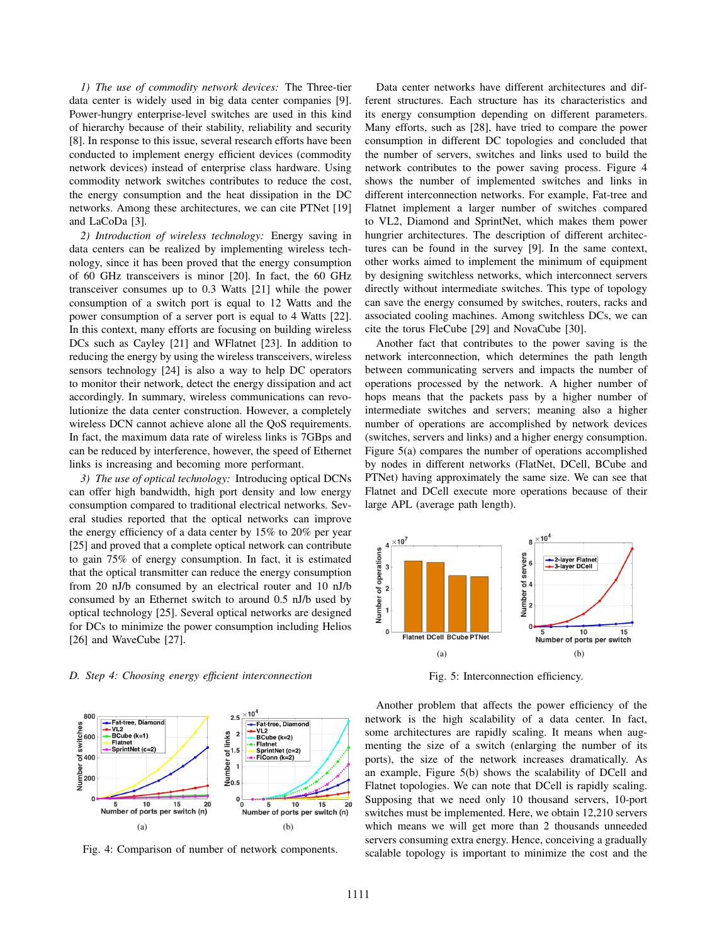*1) The use of commodity network devices:* The Three-tier data center is widely used in big data center companies [9]. Power-hungry enterprise-level switches are used in this kind of hierarchy because of their stability, reliability and security [8]. In response to this issue, several research efforts have been conducted to implement energy efficient devices (commodity network devices) instead of enterprise class hardware. Using commodity network switches contributes to reduce the cost, the energy consumption and the heat dissipation in the DC networks. Among these architectures, we can cite PTNet [19] and LaCoDa [3].

*2) Introduction of wireless technology:* Energy saving in data centers can be realized by implementing wireless technology, since it has been proved that the energy consumption of 60 GHz transceivers is minor [20]. In fact, the 60 GHz transceiver consumes up to 0.3 Watts [21] while the power consumption of a switch port is equal to 12 Watts and the power consumption of a server port is equal to 4 Watts [22]. In this context, many efforts are focusing on building wireless DCs such as Cayley [21] and WFlatnet [23]. In addition to reducing the energy by using the wireless transceivers, wireless sensors technology [24] is also a way to help DC operators to monitor their network, detect the energy dissipation and act accordingly. In summary, wireless communications can revolutionize the data center construction. However, a completely wireless DCN cannot achieve alone all the QoS requirements. In fact, the maximum data rate of wireless links is 7GBps and can be reduced by interference, however, the speed of Ethernet links is increasing and becoming more performant.

*3) The use of optical technology:* Introducing optical DCNs can offer high bandwidth, high port density and low energy consumption compared to traditional electrical networks. Several studies reported that the optical networks can improve the energy efficiency of a data center by 15% to 20% per year [25] and proved that a complete optical network can contribute to gain 75% of energy consumption. In fact, it is estimated that the optical transmitter can reduce the energy consumption from 20 nJ/b consumed by an electrical router and 10 nJ/b consumed by an Ethernet switch to around 0.5 nJ/b used by optical technology [25]. Several optical networks are designed for DCs to minimize the power consumption including Helios [26] and WaveCube [27].

# *D. Step 4: Choosing energy efficient interconnection*



Fig. 4: Comparison of number of network components.

Data center networks have different architectures and different structures. Each structure has its characteristics and its energy consumption depending on different parameters. Many efforts, such as [28], have tried to compare the power consumption in different DC topologies and concluded that the number of servers, switches and links used to build the network contributes to the power saving process. Figure 4 shows the number of implemented switches and links in different interconnection networks. For example, Fat-tree and Flatnet implement a larger number of switches compared to VL2, Diamond and SprintNet, which makes them power hungrier architectures. The description of different architectures can be found in the survey [9]. In the same context, other works aimed to implement the minimum of equipment by designing switchless networks, which interconnect servers directly without intermediate switches. This type of topology can save the energy consumed by switches, routers, racks and associated cooling machines. Among switchless DCs, we can cite the torus FleCube [29] and NovaCube [30].

Another fact that contributes to the power saving is the network interconnection, which determines the path length between communicating servers and impacts the number of operations processed by the network. A higher number of hops means that the packets pass by a higher number of intermediate switches and servers; meaning also a higher number of operations are accomplished by network devices (switches, servers and links) and a higher energy consumption. Figure 5(a) compares the number of operations accomplished by nodes in different networks (FlatNet, DCell, BCube and PTNet) having approximately the same size. We can see that Flatnet and DCell execute more operations because of their large APL (average path length).



Fig. 5: Interconnection efficiency.

Another problem that affects the power efficiency of the network is the high scalability of a data center. In fact, some architectures are rapidly scaling. It means when augmenting the size of a switch (enlarging the number of its ports), the size of the network increases dramatically. As an example, Figure 5(b) shows the scalability of DCell and Flatnet topologies. We can note that DCell is rapidly scaling. Supposing that we need only 10 thousand servers, 10-port switches must be implemented. Here, we obtain 12,210 servers which means we will get more than 2 thousands unneeded servers consuming extra energy. Hence, conceiving a gradually scalable topology is important to minimize the cost and the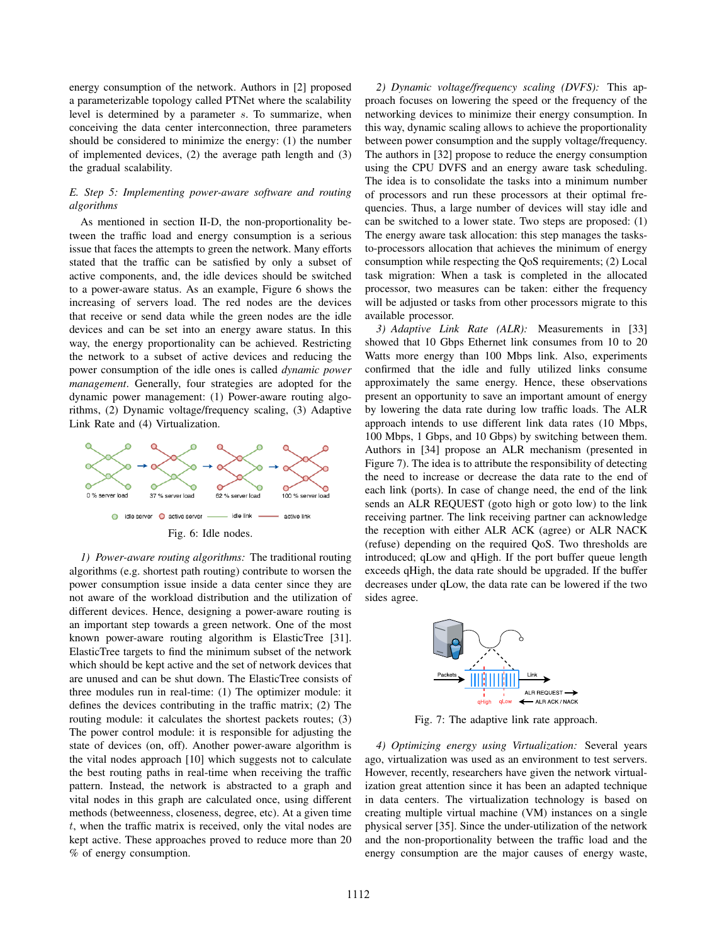energy consumption of the network. Authors in [2] proposed a parameterizable topology called PTNet where the scalability level is determined by a parameter s. To summarize, when conceiving the data center interconnection, three parameters should be considered to minimize the energy: (1) the number of implemented devices, (2) the average path length and (3) the gradual scalability.

## *E. Step 5: Implementing power-aware software and routing algorithms*

As mentioned in section II-D, the non-proportionality between the traffic load and energy consumption is a serious issue that faces the attempts to green the network. Many efforts stated that the traffic can be satisfied by only a subset of active components, and, the idle devices should be switched to a power-aware status. As an example, Figure 6 shows the increasing of servers load. The red nodes are the devices that receive or send data while the green nodes are the idle devices and can be set into an energy aware status. In this way, the energy proportionality can be achieved. Restricting the network to a subset of active devices and reducing the power consumption of the idle ones is called *dynamic power management*. Generally, four strategies are adopted for the dynamic power management: (1) Power-aware routing algorithms, (2) Dynamic voltage/frequency scaling, (3) Adaptive Link Rate and (4) Virtualization.



*1) Power-aware routing algorithms:* The traditional routing algorithms (e.g. shortest path routing) contribute to worsen the power consumption issue inside a data center since they are not aware of the workload distribution and the utilization of different devices. Hence, designing a power-aware routing is an important step towards a green network. One of the most known power-aware routing algorithm is ElasticTree [31]. ElasticTree targets to find the minimum subset of the network which should be kept active and the set of network devices that are unused and can be shut down. The ElasticTree consists of three modules run in real-time: (1) The optimizer module: it defines the devices contributing in the traffic matrix; (2) The routing module: it calculates the shortest packets routes; (3) The power control module: it is responsible for adjusting the state of devices (on, off). Another power-aware algorithm is the vital nodes approach [10] which suggests not to calculate the best routing paths in real-time when receiving the traffic pattern. Instead, the network is abstracted to a graph and vital nodes in this graph are calculated once, using different methods (betweenness, closeness, degree, etc). At a given time t, when the traffic matrix is received, only the vital nodes are kept active. These approaches proved to reduce more than 20 % of energy consumption.

*2) Dynamic voltage/frequency scaling (DVFS):* This approach focuses on lowering the speed or the frequency of the networking devices to minimize their energy consumption. In this way, dynamic scaling allows to achieve the proportionality between power consumption and the supply voltage/frequency. The authors in [32] propose to reduce the energy consumption using the CPU DVFS and an energy aware task scheduling. The idea is to consolidate the tasks into a minimum number of processors and run these processors at their optimal frequencies. Thus, a large number of devices will stay idle and can be switched to a lower state. Two steps are proposed: (1) The energy aware task allocation: this step manages the tasksto-processors allocation that achieves the minimum of energy consumption while respecting the QoS requirements; (2) Local task migration: When a task is completed in the allocated processor, two measures can be taken: either the frequency will be adjusted or tasks from other processors migrate to this available processor.

*3) Adaptive Link Rate (ALR):* Measurements in [33] showed that 10 Gbps Ethernet link consumes from 10 to 20 Watts more energy than 100 Mbps link. Also, experiments confirmed that the idle and fully utilized links consume approximately the same energy. Hence, these observations present an opportunity to save an important amount of energy by lowering the data rate during low traffic loads. The ALR approach intends to use different link data rates (10 Mbps, 100 Mbps, 1 Gbps, and 10 Gbps) by switching between them. Authors in [34] propose an ALR mechanism (presented in Figure 7). The idea is to attribute the responsibility of detecting the need to increase or decrease the data rate to the end of each link (ports). In case of change need, the end of the link sends an ALR REQUEST (goto high or goto low) to the link receiving partner. The link receiving partner can acknowledge the reception with either ALR ACK (agree) or ALR NACK (refuse) depending on the required QoS. Two thresholds are introduced; qLow and qHigh. If the port buffer queue length exceeds qHigh, the data rate should be upgraded. If the buffer decreases under qLow, the data rate can be lowered if the two sides agree.



Fig. 7: The adaptive link rate approach.

*4) Optimizing energy using Virtualization:* Several years ago, virtualization was used as an environment to test servers. However, recently, researchers have given the network virtualization great attention since it has been an adapted technique in data centers. The virtualization technology is based on creating multiple virtual machine (VM) instances on a single physical server [35]. Since the under-utilization of the network and the non-proportionality between the traffic load and the energy consumption are the major causes of energy waste,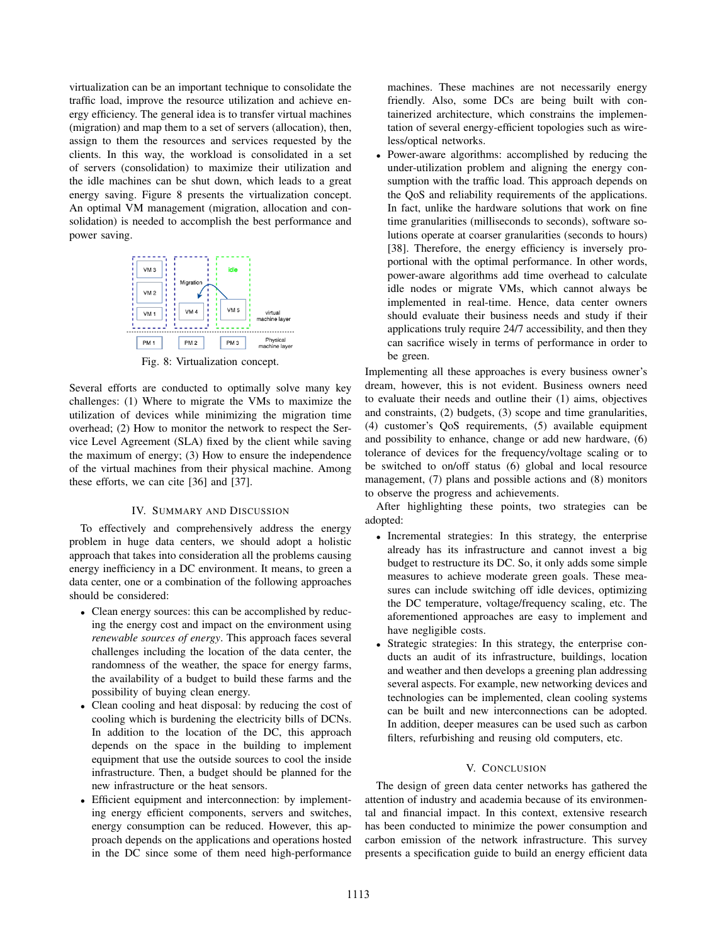virtualization can be an important technique to consolidate the traffic load, improve the resource utilization and achieve energy efficiency. The general idea is to transfer virtual machines (migration) and map them to a set of servers (allocation), then, assign to them the resources and services requested by the clients. In this way, the workload is consolidated in a set of servers (consolidation) to maximize their utilization and the idle machines can be shut down, which leads to a great energy saving. Figure 8 presents the virtualization concept. An optimal VM management (migration, allocation and consolidation) is needed to accomplish the best performance and power saving.



Several efforts are conducted to optimally solve many key challenges: (1) Where to migrate the VMs to maximize the utilization of devices while minimizing the migration time overhead; (2) How to monitor the network to respect the Service Level Agreement (SLA) fixed by the client while saving the maximum of energy; (3) How to ensure the independence of the virtual machines from their physical machine. Among these efforts, we can cite [36] and [37].

# IV. SUMMARY AND DISCUSSION

To effectively and comprehensively address the energy problem in huge data centers, we should adopt a holistic approach that takes into consideration all the problems causing energy inefficiency in a DC environment. It means, to green a data center, one or a combination of the following approaches should be considered:

- Clean energy sources: this can be accomplished by reducing the energy cost and impact on the environment using *renewable sources of energy*. This approach faces several challenges including the location of the data center, the randomness of the weather, the space for energy farms, the availability of a budget to build these farms and the possibility of buying clean energy.
- Clean cooling and heat disposal: by reducing the cost of cooling which is burdening the electricity bills of DCNs. In addition to the location of the DC, this approach depends on the space in the building to implement equipment that use the outside sources to cool the inside infrastructure. Then, a budget should be planned for the new infrastructure or the heat sensors.
- Efficient equipment and interconnection: by implementing energy efficient components, servers and switches, energy consumption can be reduced. However, this approach depends on the applications and operations hosted in the DC since some of them need high-performance

machines. These machines are not necessarily energy friendly. Also, some DCs are being built with containerized architecture, which constrains the implementation of several energy-efficient topologies such as wireless/optical networks.

• Power-aware algorithms: accomplished by reducing the under-utilization problem and aligning the energy consumption with the traffic load. This approach depends on the QoS and reliability requirements of the applications. In fact, unlike the hardware solutions that work on fine time granularities (milliseconds to seconds), software solutions operate at coarser granularities (seconds to hours) [38]. Therefore, the energy efficiency is inversely proportional with the optimal performance. In other words, power-aware algorithms add time overhead to calculate idle nodes or migrate VMs, which cannot always be implemented in real-time. Hence, data center owners should evaluate their business needs and study if their applications truly require 24/7 accessibility, and then they can sacrifice wisely in terms of performance in order to be green.

Implementing all these approaches is every business owner's dream, however, this is not evident. Business owners need to evaluate their needs and outline their (1) aims, objectives and constraints, (2) budgets, (3) scope and time granularities, (4) customer's QoS requirements, (5) available equipment and possibility to enhance, change or add new hardware, (6) tolerance of devices for the frequency/voltage scaling or to be switched to on/off status (6) global and local resource management, (7) plans and possible actions and (8) monitors to observe the progress and achievements.

After highlighting these points, two strategies can be adopted:

- Incremental strategies: In this strategy, the enterprise already has its infrastructure and cannot invest a big budget to restructure its DC. So, it only adds some simple measures to achieve moderate green goals. These measures can include switching off idle devices, optimizing the DC temperature, voltage/frequency scaling, etc. The aforementioned approaches are easy to implement and have negligible costs.
- Strategic strategies: In this strategy, the enterprise conducts an audit of its infrastructure, buildings, location and weather and then develops a greening plan addressing several aspects. For example, new networking devices and technologies can be implemented, clean cooling systems can be built and new interconnections can be adopted. In addition, deeper measures can be used such as carbon filters, refurbishing and reusing old computers, etc.

# V. CONCLUSION

The design of green data center networks has gathered the attention of industry and academia because of its environmental and financial impact. In this context, extensive research has been conducted to minimize the power consumption and carbon emission of the network infrastructure. This survey presents a specification guide to build an energy efficient data